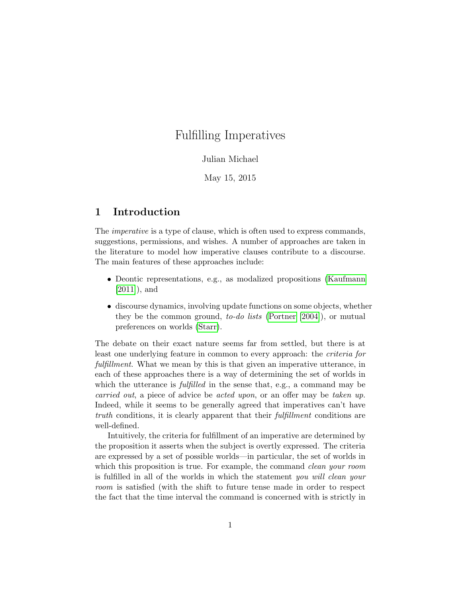# Fulfilling Imperatives

### Julian Michael

May 15, 2015

## 1 Introduction

The imperative is a type of clause, which is often used to express commands, suggestions, permissions, and wishes. A number of approaches are taken in the literature to model how imperative clauses contribute to a discourse. The main features of these approaches include:

- Deontic representations, e.g., as modalized propositions [\(Kaufmann](#page-13-0) [\[2011\]](#page-13-0)), and
- discourse dynamics, involving update functions on some objects, whether they be the common ground, to-do lists [\(Portner \[2004\]](#page-13-1)), or mutual preferences on worlds [\(Starr\)](#page-14-0).

The debate on their exact nature seems far from settled, but there is at least one underlying feature in common to every approach: the criteria for fulfillment. What we mean by this is that given an imperative utterance, in each of these approaches there is a way of determining the set of worlds in which the utterance is *fulfilled* in the sense that, e.g., a command may be carried out, a piece of advice be acted upon, or an offer may be taken up. Indeed, while it seems to be generally agreed that imperatives can't have truth conditions, it is clearly apparent that their *fulfillment* conditions are well-defined.

Intuitively, the criteria for fulfillment of an imperative are determined by the proposition it asserts when the subject is overtly expressed. The criteria are expressed by a set of possible worlds—in particular, the set of worlds in which this proposition is true. For example, the command *clean your room* is fulfilled in all of the worlds in which the statement you will clean your room is satisfied (with the shift to future tense made in order to respect the fact that the time interval the command is concerned with is strictly in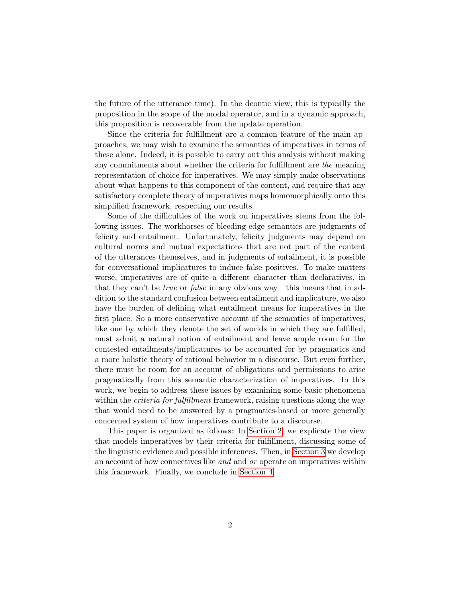the future of the utterance time). In the deontic view, this is typically the proposition in the scope of the modal operator, and in a dynamic approach, this proposition is recoverable from the update operation.

Since the criteria for fulfillment are a common feature of the main approaches, we may wish to examine the semantics of imperatives in terms of these alone. Indeed, it is possible to carry out this analysis without making any commitments about whether the criteria for fulfillment are the meaning representation of choice for imperatives. We may simply make observations about what happens to this component of the content, and require that any satisfactory complete theory of imperatives maps homomorphically onto this simplified framework, respecting our results.

Some of the difficulties of the work on imperatives stems from the following issues. The workhorses of bleeding-edge semantics are judgments of felicity and entailment. Unfortunately, felicity judgments may depend on cultural norms and mutual expectations that are not part of the content of the utterances themselves, and in judgments of entailment, it is possible for conversational implicatures to induce false positives. To make matters worse, imperatives are of quite a different character than declaratives, in that they can't be *true* or *false* in any obvious way—this means that in addition to the standard confusion between entailment and implicature, we also have the burden of defining what entailment means for imperatives in the first place. So a more conservative account of the semantics of imperatives, like one by which they denote the set of worlds in which they are fulfilled, must admit a natural notion of entailment and leave ample room for the contested entailments/implicatures to be accounted for by pragmatics and a more holistic theory of rational behavior in a discourse. But even further, there must be room for an account of obligations and permissions to arise pragmatically from this semantic characterization of imperatives. In this work, we begin to address these issues by examining some basic phenomena within the *criteria for fulfillment* framework, raising questions along the way that would need to be answered by a pragmatics-based or more generally concerned system of how imperatives contribute to a discourse.

This paper is organized as follows: In [Section 2,](#page-2-0) we explicate the view that models imperatives by their criteria for fulfillment, discussing some of the linguistic evidence and possible inferences. Then, in [Section 3](#page-8-0) we develop an account of how connectives like and and or operate on imperatives within this framework. Finally, we conclude in [Section 4.](#page-13-2)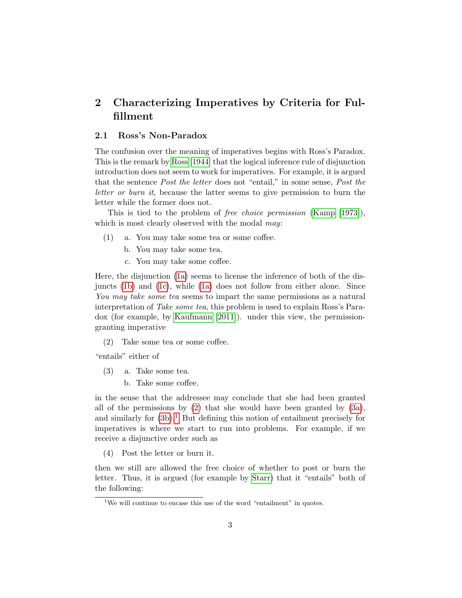# <span id="page-2-0"></span>2 Characterizing Imperatives by Criteria for Fulfillment

#### 2.1 Ross's Non-Paradox

The confusion over the meaning of imperatives begins with Ross's Paradox. This is the remark by [Ross \[1944\]](#page-13-3) that the logical inference rule of disjunction introduction does not seem to work for imperatives. For example, it is argued that the sentence Post the letter does not "entail," in some sense, Post the letter or burn it, because the latter seems to give permission to burn the letter while the former does not.

This is tied to the problem of free choice permission [\(Kamp \[1973\]](#page-13-4)), which is most clearly observed with the modal may:

- <span id="page-2-2"></span><span id="page-2-1"></span>(1) a. You may take some tea or some coffee.
	- b. You may take some tea.
	- c. You may take some coffee.

<span id="page-2-3"></span>Here, the disjunction [\(1a\)](#page-2-1) seems to license the inference of both of the disjuncts [\(1b\)](#page-2-2) and [\(1c\)](#page-2-3), while [\(1a\)](#page-2-1) does not follow from either alone. Since You may take some tea seems to impart the same permissions as a natural interpretation of Take some tea, this problem is used to explain Ross's Paradox (for example, by [Kaufmann \[2011\]](#page-13-0)). under this view, the permissiongranting imperative

<span id="page-2-4"></span>(2) Take some tea or some coffee.

"entails" either of

- <span id="page-2-6"></span><span id="page-2-5"></span>(3) a. Take some tea.
	- b. Take some coffee.

in the sense that the addressee may conclude that she had been granted all of the permissions by  $(2)$  that she would have been granted by  $(3a)$ , and similarly for  $(3b)$ .<sup>[1](#page-2-7)</sup> But defining this notion of entailment precisely for imperatives is where we start to run into problems. For example, if we receive a disjunctive order such as

<span id="page-2-8"></span>(4) Post the letter or burn it.

then we still are allowed the free choice of whether to post or burn the letter. Thus, it is argued (for example by [Starr\)](#page-14-0) that it "entails" both of the following:

<span id="page-2-7"></span><sup>&</sup>lt;sup>1</sup>We will continue to encase this use of the word "entailment" in quotes.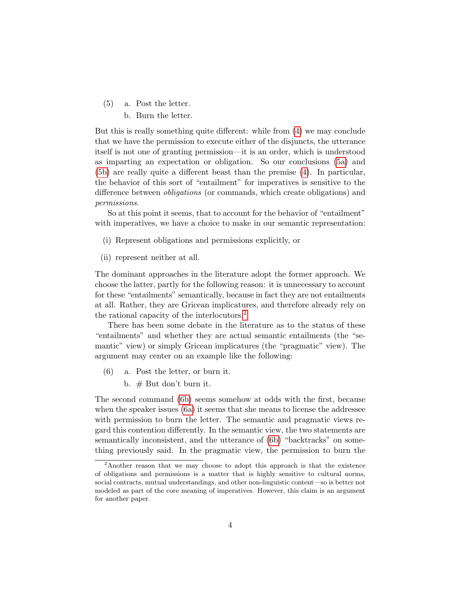<span id="page-3-1"></span><span id="page-3-0"></span>(5) a. Post the letter. b. Burn the letter.

But this is really something quite different: while from [\(4\)](#page-2-8) we may conclude that we have the permission to execute either of the disjuncts, the utterance itself is not one of granting permission—it is an order, which is understood as imparting an expectation or obligation. So our conclusions [\(5a\)](#page-3-0) and [\(5b\)](#page-3-1) are really quite a different beast than the premise [\(4\)](#page-2-8). In particular, the behavior of this sort of "entailment" for imperatives is sensitive to the difference between *obligations* (or commands, which create obligations) and permissions.

So at this point it seems, that to account for the behavior of "entailment" with imperatives, we have a choice to make in our semantic representation:

- (i) Represent obligations and permissions explicitly, or
- (ii) represent neither at all.

The dominant approaches in the literature adopt the former approach. We choose the latter, partly for the following reason: it is unnecessary to account for these "entailments" semantically, because in fact they are not entailments at all. Rather, they are Gricean implicatures, and therefore already rely on the rational capacity of the interlocutors.<sup>[2](#page-3-2)</sup>

There has been some debate in the literature as to the status of these "entailments" and whether they are actual semantic entailments (the "semantic" view) or simply Gricean implicatures (the "pragmatic" view). The argument may center on an example like the following:

- <span id="page-3-4"></span><span id="page-3-3"></span>(6) a. Post the letter, or burn it.
	- b.  $#$  But don't burn it.

The second command [\(6b\)](#page-3-3) seems somehow at odds with the first, because when the speaker issues [\(6a\)](#page-3-4) it seems that she means to license the addressee with permission to burn the letter. The semantic and pragmatic views regard this contention differently. In the semantic view, the two statements are semantically inconsistent, and the utterance of [\(6b\)](#page-3-3) "backtracks" on something previously said. In the pragmatic view, the permission to burn the

<span id="page-3-2"></span><sup>2</sup>Another reason that we may choose to adopt this approach is that the existence of obligations and permissions is a matter that is highly sensitive to cultural norms, social contracts, mutual understandings, and other non-linguistic content—so is better not modeled as part of the core meaning of imperatives. However, this claim is an argument for another paper.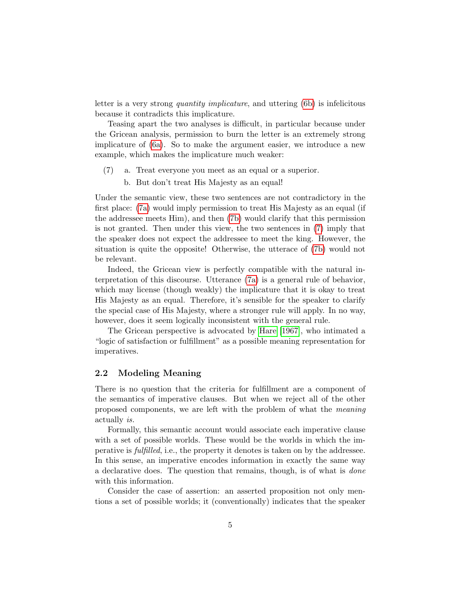letter is a very strong quantity implicature, and uttering [\(6b\)](#page-3-3) is infelicitous because it contradicts this implicature.

Teasing apart the two analyses is difficult, in particular because under the Gricean analysis, permission to burn the letter is an extremely strong implicature of [\(6a\)](#page-3-4). So to make the argument easier, we introduce a new example, which makes the implicature much weaker:

- <span id="page-4-1"></span><span id="page-4-0"></span>(7) a. Treat everyone you meet as an equal or a superior.
	- b. But don't treat His Majesty as an equal!

Under the semantic view, these two sentences are not contradictory in the first place: [\(7a\)](#page-4-0) would imply permission to treat His Majesty as an equal (if the addressee meets Him), and then [\(7b\)](#page-4-1) would clarify that this permission is not granted. Then under this view, the two sentences in [\(7\)](#page-4-1) imply that the speaker does not expect the addressee to meet the king. However, the situation is quite the opposite! Otherwise, the utterace of [\(7b\)](#page-4-1) would not be relevant.

Indeed, the Gricean view is perfectly compatible with the natural interpretation of this discourse. Utterance [\(7a\)](#page-4-0) is a general rule of behavior, which may license (though weakly) the implicature that it is okay to treat His Majesty as an equal. Therefore, it's sensible for the speaker to clarify the special case of His Majesty, where a stronger rule will apply. In no way, however, does it seem logically inconsistent with the general rule.

The Gricean perspective is advocated by [Hare \[1967\]](#page-13-5), who intimated a "logic of satisfaction or fulfillment" as a possible meaning representation for imperatives.

### 2.2 Modeling Meaning

There is no question that the criteria for fulfillment are a component of the semantics of imperative clauses. But when we reject all of the other proposed components, we are left with the problem of what the meaning actually is.

Formally, this semantic account would associate each imperative clause with a set of possible worlds. These would be the worlds in which the imperative is fulfilled, i.e., the property it denotes is taken on by the addressee. In this sense, an imperative encodes information in exactly the same way a declarative does. The question that remains, though, is of what is done with this information.

Consider the case of assertion: an asserted proposition not only mentions a set of possible worlds; it (conventionally) indicates that the speaker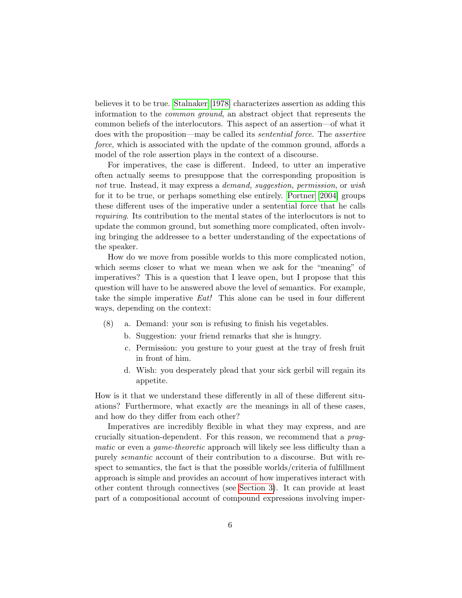believes it to be true. [Stalnaker \[1978\]](#page-14-1) characterizes assertion as adding this information to the common ground, an abstract object that represents the common beliefs of the interlocutors. This aspect of an assertion—of what it does with the proposition—may be called its sentential force. The assertive force, which is associated with the update of the common ground, affords a model of the role assertion plays in the context of a discourse.

For imperatives, the case is different. Indeed, to utter an imperative often actually seems to presuppose that the corresponding proposition is not true. Instead, it may express a *demand, suggestion, permission,* or wish for it to be true, or perhaps something else entirely. [Portner \[2004\]](#page-13-1) groups these different uses of the imperative under a sentential force that he calls requiring. Its contribution to the mental states of the interlocutors is not to update the common ground, but something more complicated, often involving bringing the addressee to a better understanding of the expectations of the speaker.

How do we move from possible worlds to this more complicated notion, which seems closer to what we mean when we ask for the "meaning" of imperatives? This is a question that I leave open, but I propose that this question will have to be answered above the level of semantics. For example, take the simple imperative Eat! This alone can be used in four different ways, depending on the context:

- (8) a. Demand: your son is refusing to finish his vegetables.
	- b. Suggestion: your friend remarks that she is hungry.
	- c. Permission: you gesture to your guest at the tray of fresh fruit in front of him.
	- d. Wish: you desperately plead that your sick gerbil will regain its appetite.

How is it that we understand these differently in all of these different situations? Furthermore, what exactly are the meanings in all of these cases, and how do they differ from each other?

Imperatives are incredibly flexible in what they may express, and are crucially situation-dependent. For this reason, we recommend that a pragmatic or even a game-theoretic approach will likely see less difficulty than a purely semantic account of their contribution to a discourse. But with respect to semantics, the fact is that the possible worlds/criteria of fulfillment approach is simple and provides an account of how imperatives interact with other content through connectives (see [Section 3\)](#page-8-0). It can provide at least part of a compositional account of compound expressions involving imper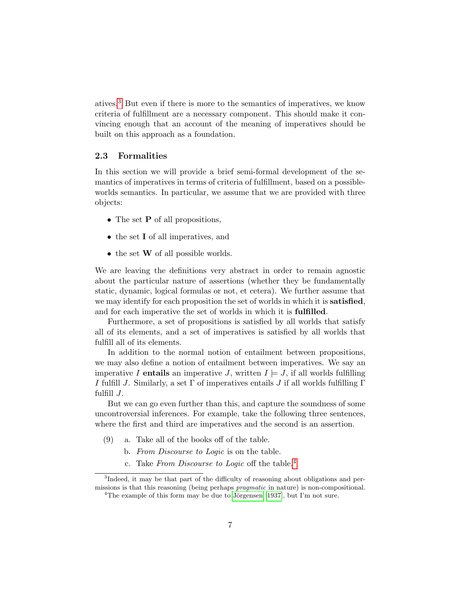atives.[3](#page-6-0) But even if there is more to the semantics of imperatives, we know criteria of fulfillment are a necessary component. This should make it convincing enough that an account of the meaning of imperatives should be built on this approach as a foundation.

#### 2.3 Formalities

In this section we will provide a brief semi-formal development of the semantics of imperatives in terms of criteria of fulfillment, based on a possibleworlds semantics. In particular, we assume that we are provided with three objects:

- The set **P** of all propositions,
- the set I of all imperatives, and
- the set **W** of all possible worlds.

We are leaving the definitions very abstract in order to remain agnostic about the particular nature of assertions (whether they be fundamentally static, dynamic, logical formulas or not, et cetera). We further assume that we may identify for each proposition the set of worlds in which it is **satisfied**, and for each imperative the set of worlds in which it is fulfilled.

Furthermore, a set of propositions is satisfied by all worlds that satisfy all of its elements, and a set of imperatives is satisfied by all worlds that fulfill all of its elements.

In addition to the normal notion of entailment between propositions, we may also define a notion of entailment between imperatives. We say an imperative I entails an imperative J, written  $I \models J$ , if all worlds fulfilling I fulfill J. Similarly, a set  $\Gamma$  of imperatives entails J if all worlds fulfilling  $\Gamma$ fulfill  $J$ .

But we can go even further than this, and capture the soundness of some uncontroversial inferences. For example, take the following three sentences, where the first and third are imperatives and the second is an assertion.

- <span id="page-6-3"></span><span id="page-6-2"></span>(9) a. Take all of the books off of the table.
	- b. From Discourse to Logic is on the table.
	- c. Take From Discourse to Logic off the table.<sup>[4](#page-6-1)</sup>

<span id="page-6-4"></span><span id="page-6-1"></span><span id="page-6-0"></span><sup>&</sup>lt;sup>3</sup>Indeed, it may be that part of the difficulty of reasoning about obligations and permissions is that this reasoning (being perhaps pragmatic in nature) is non-compositional. <sup>4</sup>The example of this form may be due to Jörgensen [\[1937\]](#page-13-6), but I'm not sure.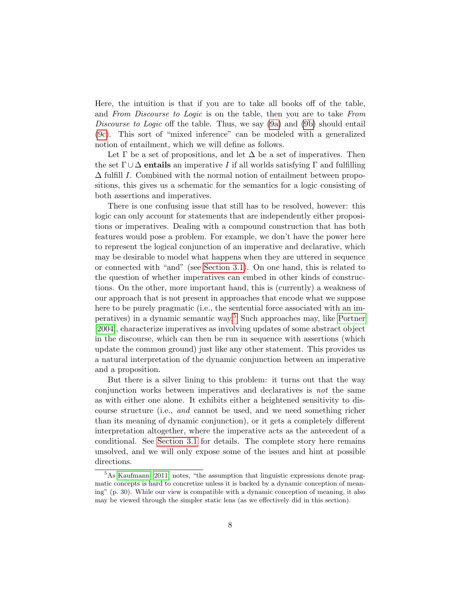Here, the intuition is that if you are to take all books off of the table, and From Discourse to Logic is on the table, then you are to take From Discourse to Logic off the table. Thus, we say [\(9a\)](#page-6-2) and [\(9b\)](#page-6-3) should entail [\(9c\)](#page-6-4). This sort of "mixed inference" can be modeled with a generalized notion of entailment, which we will define as follows.

Let  $\Gamma$  be a set of propositions, and let  $\Delta$  be a set of imperatives. Then the set  $\Gamma \cup \Delta$  entails an imperative I if all worlds satisfying  $\Gamma$  and fulfilling  $\Delta$  fulfill I. Combined with the normal notion of entailment between propositions, this gives us a schematic for the semantics for a logic consisting of both assertions and imperatives.

There is one confusing issue that still has to be resolved, however: this logic can only account for statements that are independently either propositions or imperatives. Dealing with a compound construction that has both features would pose a problem. For example, we don't have the power here to represent the logical conjunction of an imperative and declarative, which may be desirable to model what happens when they are uttered in sequence or connected with "and" (see [Section 3.1\)](#page-8-1). On one hand, this is related to the question of whether imperatives can embed in other kinds of constructions. On the other, more important hand, this is (currently) a weakness of our approach that is not present in approaches that encode what we suppose here to be purely pragmatic (i.e., the sentential force associated with an imperatives) in a dynamic semantic way.[5](#page-7-0) Such approaches may, like [Portner](#page-13-1) [\[2004\]](#page-13-1), characterize imperatives as involving updates of some abstract object in the discourse, which can then be run in sequence with assertions (which update the common ground) just like any other statement. This provides us a natural interpretation of the dynamic conjunction between an imperative and a proposition.

But there is a silver lining to this problem: it turns out that the way conjunction works between imperatives and declaratives is not the same as with either one alone. It exhibits either a heightened sensitivity to discourse structure (i.e., and cannot be used, and we need something richer than its meaning of dynamic conjunction), or it gets a completely different interpretation altogether, where the imperative acts as the antecedent of a conditional. See [Section 3.1](#page-8-1) for details. The complete story here remains unsolved, and we will only expose some of the issues and hint at possible directions.

<span id="page-7-0"></span><sup>5</sup>As [Kaufmann](#page-13-0) [\[2011\]](#page-13-0) notes, "the assumption that linguistic expressions denote pragmatic concepts is hard to concretize unless it is backed by a dynamic conception of meaning" (p. 30). While our view is compatible with a dynamic conception of meaning, it also may be viewed through the simpler static lens (as we effectively did in this section).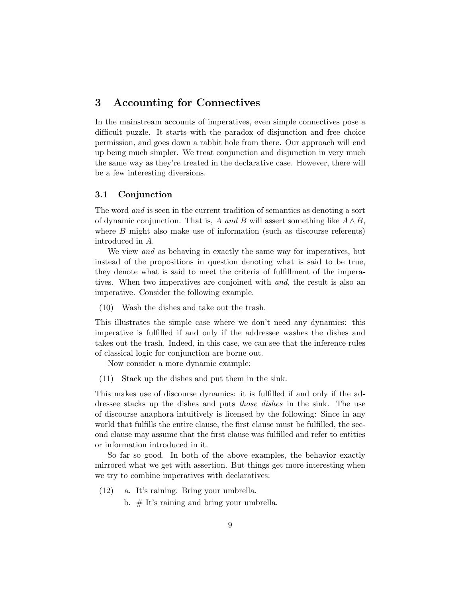### <span id="page-8-0"></span>3 Accounting for Connectives

In the mainstream accounts of imperatives, even simple connectives pose a difficult puzzle. It starts with the paradox of disjunction and free choice permission, and goes down a rabbit hole from there. Our approach will end up being much simpler. We treat conjunction and disjunction in very much the same way as they're treated in the declarative case. However, there will be a few interesting diversions.

### <span id="page-8-1"></span>3.1 Conjunction

The word and is seen in the current tradition of semantics as denoting a sort of dynamic conjunction. That is, A and B will assert something like  $A \wedge B$ , where B might also make use of information (such as discourse referents) introduced in A.

We view *and* as behaving in exactly the same way for imperatives, but instead of the propositions in question denoting what is said to be true, they denote what is said to meet the criteria of fulfillment of the imperatives. When two imperatives are conjoined with *and*, the result is also an imperative. Consider the following example.

(10) Wash the dishes and take out the trash.

This illustrates the simple case where we don't need any dynamics: this imperative is fulfilled if and only if the addressee washes the dishes and takes out the trash. Indeed, in this case, we can see that the inference rules of classical logic for conjunction are borne out.

Now consider a more dynamic example:

(11) Stack up the dishes and put them in the sink.

This makes use of discourse dynamics: it is fulfilled if and only if the addressee stacks up the dishes and puts those dishes in the sink. The use of discourse anaphora intuitively is licensed by the following: Since in any world that fulfills the entire clause, the first clause must be fulfilled, the second clause may assume that the first clause was fulfilled and refer to entities or information introduced in it.

So far so good. In both of the above examples, the behavior exactly mirrored what we get with assertion. But things get more interesting when we try to combine imperatives with declaratives:

- <span id="page-8-3"></span><span id="page-8-2"></span>(12) a. It's raining. Bring your umbrella.
	- b.  $#$  It's raining and bring your umbrella.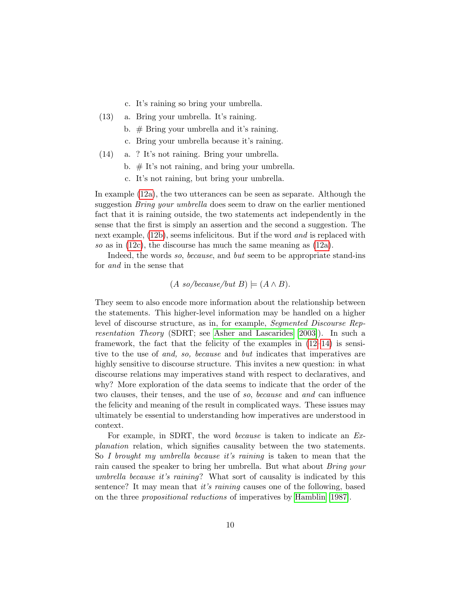- c. It's raining so bring your umbrella.
- <span id="page-9-0"></span>(13) a. Bring your umbrella. It's raining.
	- b.  $#$  Bring your umbrella and it's raining.
	- c. Bring your umbrella because it's raining.
- <span id="page-9-2"></span>(14) a. ? It's not raining. Bring your umbrella.
	- b. # It's not raining, and bring your umbrella.
	- c. It's not raining, but bring your umbrella.

<span id="page-9-1"></span>In example [\(12a\)](#page-8-2), the two utterances can be seen as separate. Although the suggestion Bring your umbrella does seem to draw on the earlier mentioned fact that it is raining outside, the two statements act independently in the sense that the first is simply an assertion and the second a suggestion. The next example, [\(12b\)](#page-8-3), seems infelicitous. But if the word *and* is replaced with so as in [\(12c\)](#page-9-0), the discourse has much the same meaning as [\(12a\)](#page-8-2).

Indeed, the words so, because, and but seem to be appropriate stand-ins for and in the sense that

$$
(A\ so/because/but\ B) \models (A \land B).
$$

They seem to also encode more information about the relationship between the statements. This higher-level information may be handled on a higher level of discourse structure, as in, for example, Segmented Discourse Representation Theory (SDRT; see [Asher and Lascarides \[2003\]](#page-13-7)). In such a framework, the fact that the felicity of the examples in  $(12-14)$  $(12-14)$  is sensitive to the use of and, so, because and but indicates that imperatives are highly sensitive to discourse structure. This invites a new question: in what discourse relations may imperatives stand with respect to declaratives, and why? More exploration of the data seems to indicate that the order of the two clauses, their tenses, and the use of so, because and and can influence the felicity and meaning of the result in complicated ways. These issues may ultimately be essential to understanding how imperatives are understood in context.

For example, in SDRT, the word because is taken to indicate an Explanation relation, which signifies causality between the two statements. So I brought my umbrella because it's raining is taken to mean that the rain caused the speaker to bring her umbrella. But what about Bring your umbrella because it's raining? What sort of causality is indicated by this sentence? It may mean that it's raining causes one of the following, based on the three propositional reductions of imperatives by [Hamblin \[1987\]](#page-13-8).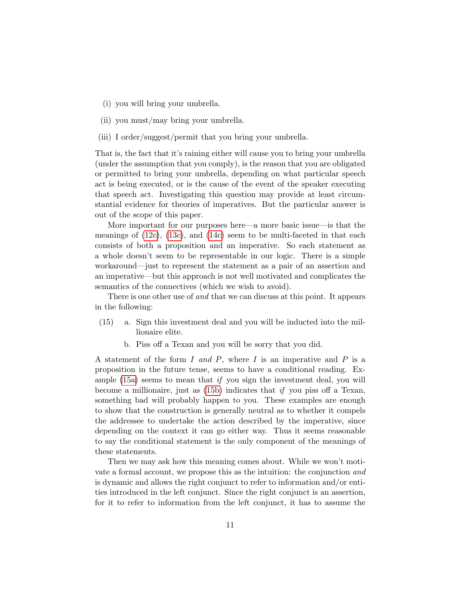- (i) you will bring your umbrella.
- (ii) you must/may bring your umbrella.
- (iii) I order/suggest/permit that you bring your umbrella.

That is, the fact that it's raining either will cause you to bring your umbrella (under the assumption that you comply), is the reason that you are obligated or permitted to bring your umbrella, depending on what particular speech act is being executed, or is the cause of the event of the speaker executing that speech act. Investigating this question may provide at least circumstantial evidence for theories of imperatives. But the particular answer is out of the scope of this paper.

More important for our purposes here—a more basic issue—is that the meanings of  $(12c)$ ,  $(13c)$ , and  $(14c)$  seem to be multi-faceted in that each consists of both a proposition and an imperative. So each statement as a whole doesn't seem to be representable in our logic. There is a simple workaround—just to represent the statement as a pair of an assertion and an imperative—but this approach is not well motivated and complicates the semantics of the connectives (which we wish to avoid).

There is one other use of and that we can discuss at this point. It appears in the following:

- <span id="page-10-1"></span><span id="page-10-0"></span>(15) a. Sign this investment deal and you will be inducted into the millionaire elite.
	- b. Piss off a Texan and you will be sorry that you did.

A statement of the form I and P, where I is an imperative and P is a proposition in the future tense, seems to have a conditional reading. Example  $(15a)$  seems to mean that if you sign the investment deal, you will become a millionaire, just as  $(15b)$  indicates that if you piss off a Texan, something bad will probably happen to you. These examples are enough to show that the construction is generally neutral as to whether it compels the addressee to undertake the action described by the imperative, since depending on the context it can go either way. Thus it seems reasonable to say the conditional statement is the only component of the meanings of these statements.

Then we may ask how this meaning comes about. While we won't motivate a formal account, we propose this as the intuition: the conjunction and is dynamic and allows the right conjunct to refer to information and/or entities introduced in the left conjunct. Since the right conjunct is an assertion, for it to refer to information from the left conjunct, it has to assume the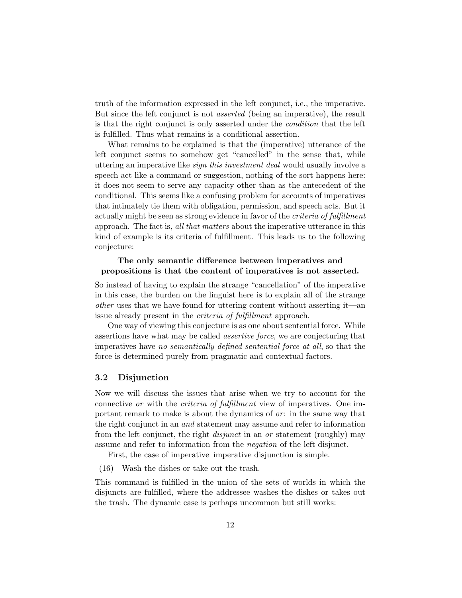truth of the information expressed in the left conjunct, i.e., the imperative. But since the left conjunct is not asserted (being an imperative), the result is that the right conjunct is only asserted under the condition that the left is fulfilled. Thus what remains is a conditional assertion.

What remains to be explained is that the (imperative) utterance of the left conjunct seems to somehow get "cancelled" in the sense that, while uttering an imperative like sign this investment deal would usually involve a speech act like a command or suggestion, nothing of the sort happens here: it does not seem to serve any capacity other than as the antecedent of the conditional. This seems like a confusing problem for accounts of imperatives that intimately tie them with obligation, permission, and speech acts. But it actually might be seen as strong evidence in favor of the *criteria of fulfillment* approach. The fact is, all that matters about the imperative utterance in this kind of example is its criteria of fulfillment. This leads us to the following conjecture:

### The only semantic difference between imperatives and propositions is that the content of imperatives is not asserted.

So instead of having to explain the strange "cancellation" of the imperative in this case, the burden on the linguist here is to explain all of the strange other uses that we have found for uttering content without asserting it—an issue already present in the criteria of fulfillment approach.

One way of viewing this conjecture is as one about sentential force. While assertions have what may be called assertive force, we are conjecturing that imperatives have no semantically defined sentential force at all, so that the force is determined purely from pragmatic and contextual factors.

#### 3.2 Disjunction

Now we will discuss the issues that arise when we try to account for the connective *or* with the *criteria of fulfillment* view of imperatives. One important remark to make is about the dynamics of  $or$ : in the same way that the right conjunct in an and statement may assume and refer to information from the left conjunct, the right *disjunct* in an *or* statement (roughly) may assume and refer to information from the negation of the left disjunct.

First, the case of imperative–imperative disjunction is simple.

(16) Wash the dishes or take out the trash.

This command is fulfilled in the union of the sets of worlds in which the disjuncts are fulfilled, where the addressee washes the dishes or takes out the trash. The dynamic case is perhaps uncommon but still works: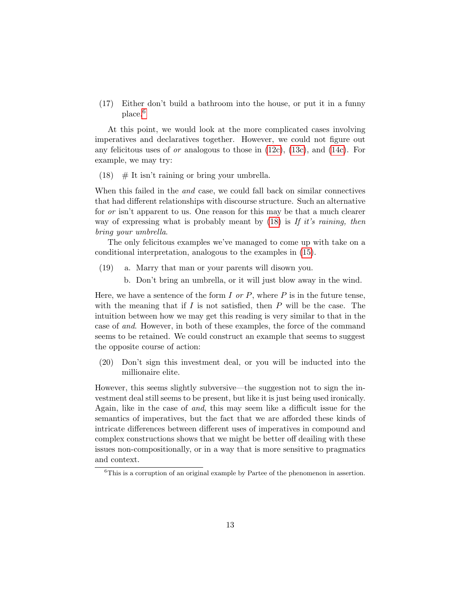(17) Either don't build a bathroom into the house, or put it in a funny place.<sup>[6](#page-12-0)</sup>

At this point, we would look at the more complicated cases involving imperatives and declaratives together. However, we could not figure out any felicitous uses of *or* analogous to those in  $(12c)$ ,  $(13c)$ , and  $(14c)$ . For example, we may try:

<span id="page-12-1"></span> $(18)$  # It isn't raining or bring your umbrella.

When this failed in the *and* case, we could fall back on similar connectives that had different relationships with discourse structure. Such an alternative for *or* isn't apparent to us. One reason for this may be that a much clearer way of expressing what is probably meant by  $(18)$  is If it's raining, then bring your umbrella.

The only felicitous examples we've managed to come up with take on a conditional interpretation, analogous to the examples in [\(15\)](#page-10-1).

- (19) a. Marry that man or your parents will disown you.
	- b. Don't bring an umbrella, or it will just blow away in the wind.

Here, we have a sentence of the form I or P, where P is in the future tense, with the meaning that if  $I$  is not satisfied, then  $P$  will be the case. The intuition between how we may get this reading is very similar to that in the case of and. However, in both of these examples, the force of the command seems to be retained. We could construct an example that seems to suggest the opposite course of action:

(20) Don't sign this investment deal, or you will be inducted into the millionaire elite.

However, this seems slightly subversive—the suggestion not to sign the investment deal still seems to be present, but like it is just being used ironically. Again, like in the case of and, this may seem like a difficult issue for the semantics of imperatives, but the fact that we are afforded these kinds of intricate differences between different uses of imperatives in compound and complex constructions shows that we might be better off deailing with these issues non-compositionally, or in a way that is more sensitive to pragmatics and context.

<span id="page-12-0"></span><sup>6</sup>This is a corruption of an original example by Partee of the phenomenon in assertion.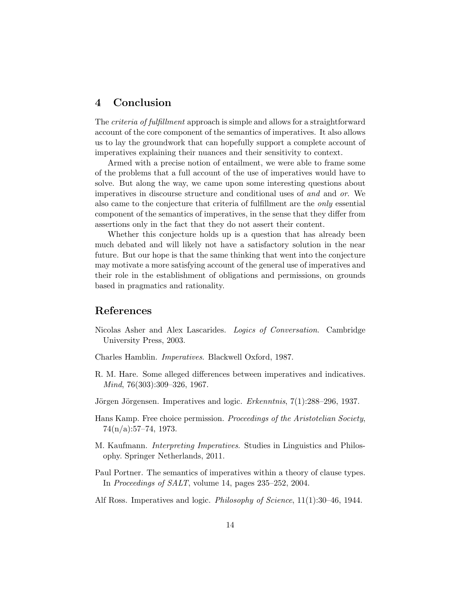### <span id="page-13-2"></span>4 Conclusion

The criteria of fulfillment approach is simple and allows for a straightforward account of the core component of the semantics of imperatives. It also allows us to lay the groundwork that can hopefully support a complete account of imperatives explaining their nuances and their sensitivity to context.

Armed with a precise notion of entailment, we were able to frame some of the problems that a full account of the use of imperatives would have to solve. But along the way, we came upon some interesting questions about imperatives in discourse structure and conditional uses of and and or. We also came to the conjecture that criteria of fulfillment are the only essential component of the semantics of imperatives, in the sense that they differ from assertions only in the fact that they do not assert their content.

Whether this conjecture holds up is a question that has already been much debated and will likely not have a satisfactory solution in the near future. But our hope is that the same thinking that went into the conjecture may motivate a more satisfying account of the general use of imperatives and their role in the establishment of obligations and permissions, on grounds based in pragmatics and rationality.

### References

- <span id="page-13-7"></span>Nicolas Asher and Alex Lascarides. Logics of Conversation. Cambridge University Press, 2003.
- <span id="page-13-8"></span>Charles Hamblin. Imperatives. Blackwell Oxford, 1987.
- <span id="page-13-5"></span>R. M. Hare. Some alleged differences between imperatives and indicatives. Mind, 76(303):309–326, 1967.
- <span id="page-13-6"></span>Jörgen Jörgensen. Imperatives and logic.  $Erkenntnis$ ,  $7(1):288-296$ , 1937.
- <span id="page-13-4"></span>Hans Kamp. Free choice permission. Proceedings of the Aristotelian Society, 74(n/a):57–74, 1973.
- <span id="page-13-0"></span>M. Kaufmann. Interpreting Imperatives. Studies in Linguistics and Philosophy. Springer Netherlands, 2011.
- <span id="page-13-1"></span>Paul Portner. The semantics of imperatives within a theory of clause types. In Proceedings of SALT, volume 14, pages 235–252, 2004.
- <span id="page-13-3"></span>Alf Ross. Imperatives and logic. *Philosophy of Science*, 11(1):30–46, 1944.